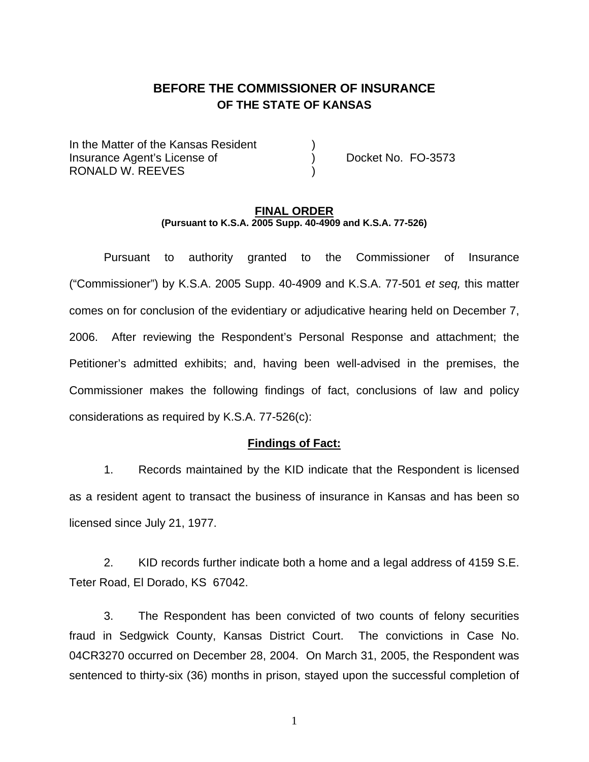# **BEFORE THE COMMISSIONER OF INSURANCE OF THE STATE OF KANSAS**

In the Matter of the Kansas Resident Insurance Agent's License of ) Docket No. FO-3573 RONALD W. REEVES

### **FINAL ORDER (Pursuant to K.S.A. 2005 Supp. 40-4909 and K.S.A. 77-526)**

 Pursuant to authority granted to the Commissioner of Insurance ("Commissioner") by K.S.A. 2005 Supp. 40-4909 and K.S.A. 77-501 *et seq,* this matter comes on for conclusion of the evidentiary or adjudicative hearing held on December 7, 2006. After reviewing the Respondent's Personal Response and attachment; the Petitioner's admitted exhibits; and, having been well-advised in the premises, the Commissioner makes the following findings of fact, conclusions of law and policy considerations as required by K.S.A. 77-526(c):

### **Findings of Fact:**

 1. Records maintained by the KID indicate that the Respondent is licensed as a resident agent to transact the business of insurance in Kansas and has been so licensed since July 21, 1977.

 2. KID records further indicate both a home and a legal address of 4159 S.E. Teter Road, El Dorado, KS 67042.

 3. The Respondent has been convicted of two counts of felony securities fraud in Sedgwick County, Kansas District Court. The convictions in Case No. 04CR3270 occurred on December 28, 2004. On March 31, 2005, the Respondent was sentenced to thirty-six (36) months in prison, stayed upon the successful completion of

1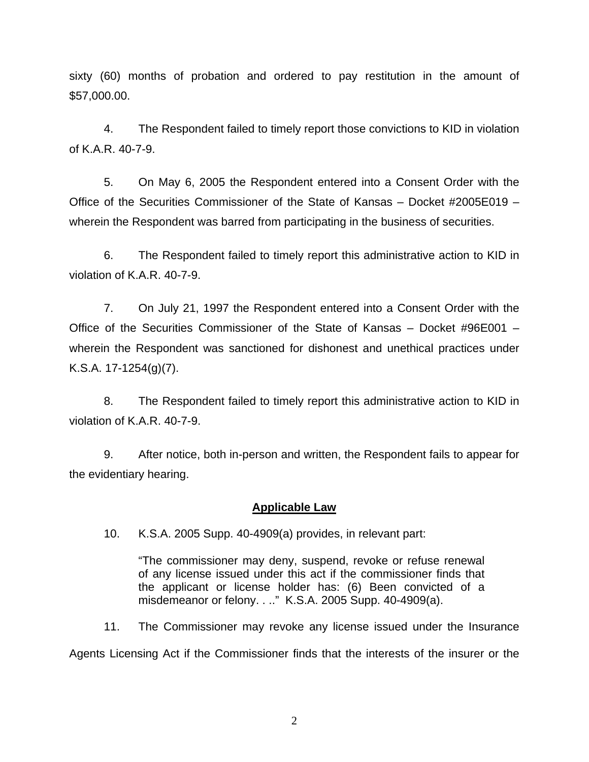sixty (60) months of probation and ordered to pay restitution in the amount of \$57,000.00.

 4. The Respondent failed to timely report those convictions to KID in violation of K.A.R. 40-7-9.

 5. On May 6, 2005 the Respondent entered into a Consent Order with the Office of the Securities Commissioner of the State of Kansas – Docket #2005E019 – wherein the Respondent was barred from participating in the business of securities.

 6. The Respondent failed to timely report this administrative action to KID in violation of K.A.R. 40-7-9.

 7. On July 21, 1997 the Respondent entered into a Consent Order with the Office of the Securities Commissioner of the State of Kansas – Docket #96E001 – wherein the Respondent was sanctioned for dishonest and unethical practices under K.S.A. 17-1254(g)(7).

 8. The Respondent failed to timely report this administrative action to KID in violation of K.A.R. 40-7-9.

 9. After notice, both in-person and written, the Respondent fails to appear for the evidentiary hearing.

### **Applicable Law**

10. K.S.A. 2005 Supp. 40-4909(a) provides, in relevant part:

"The commissioner may deny, suspend, revoke or refuse renewal of any license issued under this act if the commissioner finds that the applicant or license holder has: (6) Been convicted of a misdemeanor or felony. . .." K.S.A. 2005 Supp. 40-4909(a).

11. The Commissioner may revoke any license issued under the Insurance

Agents Licensing Act if the Commissioner finds that the interests of the insurer or the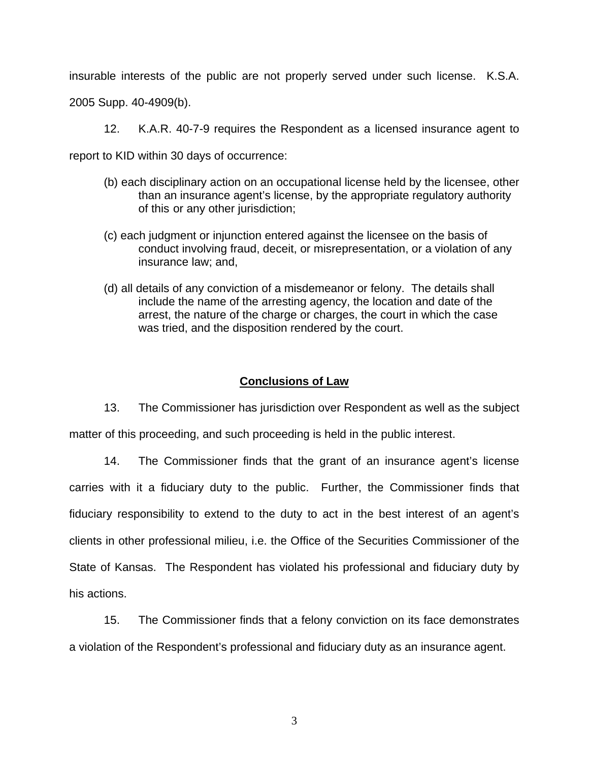insurable interests of the public are not properly served under such license. K.S.A.

2005 Supp. 40-4909(b).

12. K.A.R. 40-7-9 requires the Respondent as a licensed insurance agent to

report to KID within 30 days of occurrence:

- (b) each disciplinary action on an occupational license held by the licensee, other than an insurance agent's license, by the appropriate regulatory authority of this or any other jurisdiction;
- (c) each judgment or injunction entered against the licensee on the basis of conduct involving fraud, deceit, or misrepresentation, or a violation of any insurance law; and,
- (d) all details of any conviction of a misdemeanor or felony. The details shall include the name of the arresting agency, the location and date of the arrest, the nature of the charge or charges, the court in which the case was tried, and the disposition rendered by the court.

### **Conclusions of Law**

 13. The Commissioner has jurisdiction over Respondent as well as the subject matter of this proceeding, and such proceeding is held in the public interest.

 14. The Commissioner finds that the grant of an insurance agent's license carries with it a fiduciary duty to the public. Further, the Commissioner finds that fiduciary responsibility to extend to the duty to act in the best interest of an agent's clients in other professional milieu, i.e. the Office of the Securities Commissioner of the State of Kansas. The Respondent has violated his professional and fiduciary duty by his actions.

 15. The Commissioner finds that a felony conviction on its face demonstrates a violation of the Respondent's professional and fiduciary duty as an insurance agent.

3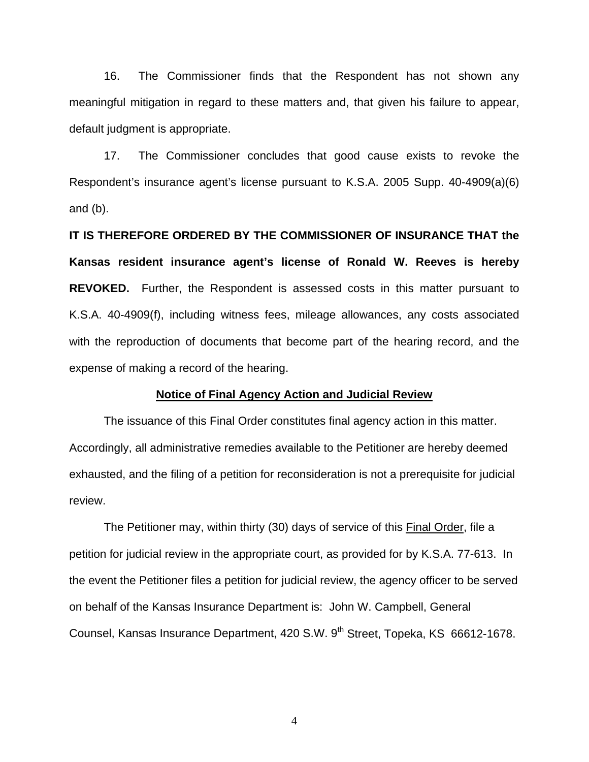16. The Commissioner finds that the Respondent has not shown any meaningful mitigation in regard to these matters and, that given his failure to appear, default judgment is appropriate.

 17. The Commissioner concludes that good cause exists to revoke the Respondent's insurance agent's license pursuant to K.S.A. 2005 Supp. 40-4909(a)(6) and (b).

**IT IS THEREFORE ORDERED BY THE COMMISSIONER OF INSURANCE THAT the Kansas resident insurance agent's license of Ronald W. Reeves is hereby REVOKED.** Further, the Respondent is assessed costs in this matter pursuant to K.S.A. 40-4909(f), including witness fees, mileage allowances, any costs associated with the reproduction of documents that become part of the hearing record, and the expense of making a record of the hearing.

### **Notice of Final Agency Action and Judicial Review**

 The issuance of this Final Order constitutes final agency action in this matter. Accordingly, all administrative remedies available to the Petitioner are hereby deemed exhausted, and the filing of a petition for reconsideration is not a prerequisite for judicial review.

 The Petitioner may, within thirty (30) days of service of this Final Order, file a petition for judicial review in the appropriate court, as provided for by K.S.A. 77-613. In the event the Petitioner files a petition for judicial review, the agency officer to be served on behalf of the Kansas Insurance Department is: John W. Campbell, General Counsel, Kansas Insurance Department, 420 S.W. 9<sup>th</sup> Street, Topeka, KS 66612-1678.

4